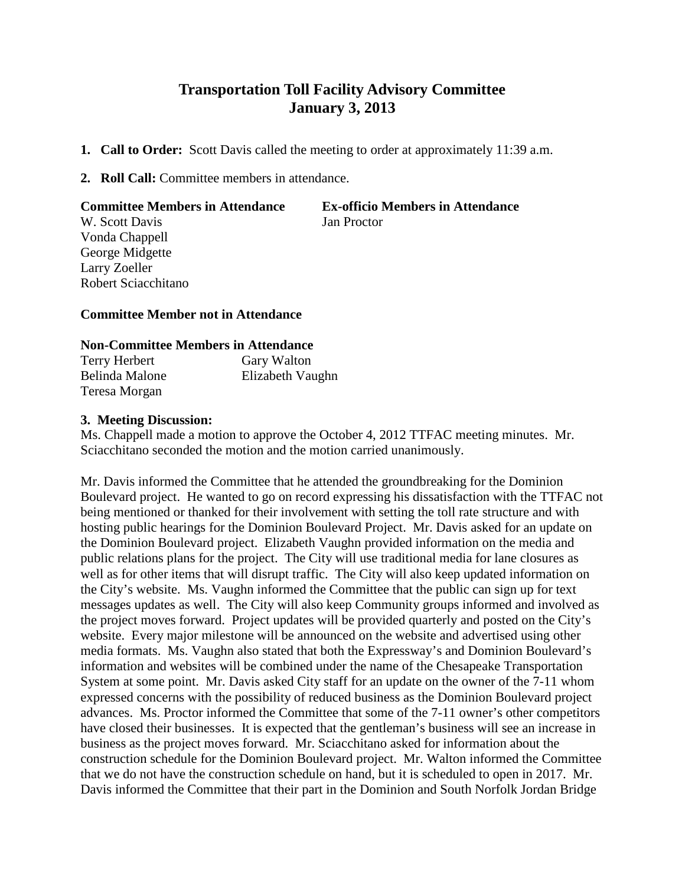# **Transportation Toll Facility Advisory Committee January 3, 2013**

- **1. Call to Order:** Scott Davis called the meeting to order at approximately 11:39 a.m.
- **2. Roll Call:** Committee members in attendance.

## **Committee Members in Attendance Ex-officio Members in Attendance**

W. Scott Davis Jan Proctor Vonda Chappell George Midgette Larry Zoeller Robert Sciacchitano

## **Committee Member not in Attendance**

### **Non-Committee Members in Attendance**

| <b>Terry Herbert</b> | Gary Walton      |
|----------------------|------------------|
| Belinda Malone       | Elizabeth Vaughn |
| Teresa Morgan        |                  |

### **3. Meeting Discussion:**

Ms. Chappell made a motion to approve the October 4, 2012 TTFAC meeting minutes. Mr. Sciacchitano seconded the motion and the motion carried unanimously.

Mr. Davis informed the Committee that he attended the groundbreaking for the Dominion Boulevard project. He wanted to go on record expressing his dissatisfaction with the TTFAC not being mentioned or thanked for their involvement with setting the toll rate structure and with hosting public hearings for the Dominion Boulevard Project. Mr. Davis asked for an update on the Dominion Boulevard project. Elizabeth Vaughn provided information on the media and public relations plans for the project. The City will use traditional media for lane closures as well as for other items that will disrupt traffic. The City will also keep updated information on the City's website. Ms. Vaughn informed the Committee that the public can sign up for text messages updates as well. The City will also keep Community groups informed and involved as the project moves forward. Project updates will be provided quarterly and posted on the City's website. Every major milestone will be announced on the website and advertised using other media formats. Ms. Vaughn also stated that both the Expressway's and Dominion Boulevard's information and websites will be combined under the name of the Chesapeake Transportation System at some point. Mr. Davis asked City staff for an update on the owner of the 7-11 whom expressed concerns with the possibility of reduced business as the Dominion Boulevard project advances. Ms. Proctor informed the Committee that some of the 7-11 owner's other competitors have closed their businesses. It is expected that the gentleman's business will see an increase in business as the project moves forward. Mr. Sciacchitano asked for information about the construction schedule for the Dominion Boulevard project. Mr. Walton informed the Committee that we do not have the construction schedule on hand, but it is scheduled to open in 2017. Mr. Davis informed the Committee that their part in the Dominion and South Norfolk Jordan Bridge